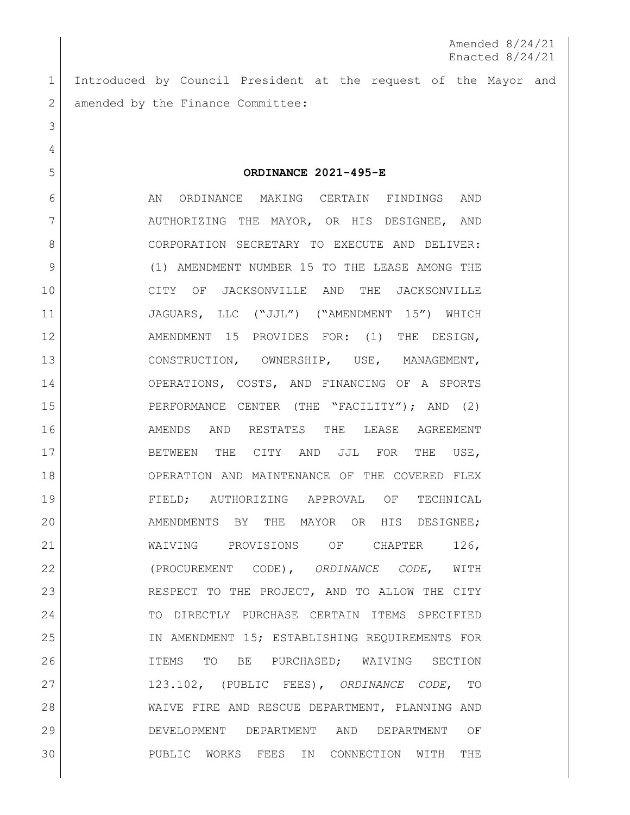Amended 8/24/21 Enacted 8/24/21

 Introduced by Council President at the request of the Mayor and 2 amended by the Finance Committee:

**ORDINANCE 2021-495-E**

6 AN ORDINANCE MAKING CERTAIN FINDINGS AND 7 | AUTHORIZING THE MAYOR, OR HIS DESIGNEE, AND 8 CORPORATION SECRETARY TO EXECUTE AND DELIVER: (1) AMENDMENT NUMBER 15 TO THE LEASE AMONG THE CITY OF JACKSONVILLE AND THE JACKSONVILLE 11 JAGUARS, LLC ("JJL") ("AMENDMENT 15") WHICH 12 AMENDMENT 15 PROVIDES FOR: (1) THE DESIGN, 13 CONSTRUCTION, OWNERSHIP, USE, MANAGEMENT, OPERATIONS, COSTS, AND FINANCING OF A SPORTS PERFORMANCE CENTER (THE "FACILITY"); AND (2) AMENDS AND RESTATES THE LEASE AGREEMENT 17 BETWEEN THE CITY AND JJL FOR THE USE, OPERATION AND MAINTENANCE OF THE COVERED FLEX **FIELD**; AUTHORIZING APPROVAL OF TECHNICAL AMENDMENTS BY THE MAYOR OR HIS DESIGNEE; 21 WAIVING PROVISIONS OF CHAPTER 126, (PROCUREMENT CODE), *ORDINANCE CODE*, WITH 23 RESPECT TO THE PROJECT, AND TO ALLOW THE CITY TO DIRECTLY PURCHASE CERTAIN ITEMS SPECIFIED IN AMENDMENT 15; ESTABLISHING REQUIREMENTS FOR ITEMS TO BE PURCHASED; WAIVING SECTION 123.102, (PUBLIC FEES), *ORDINANCE CODE*, TO WAIVE FIRE AND RESCUE DEPARTMENT, PLANNING AND DEVELOPMENT DEPARTMENT AND DEPARTMENT OF PUBLIC WORKS FEES IN CONNECTION WITH THE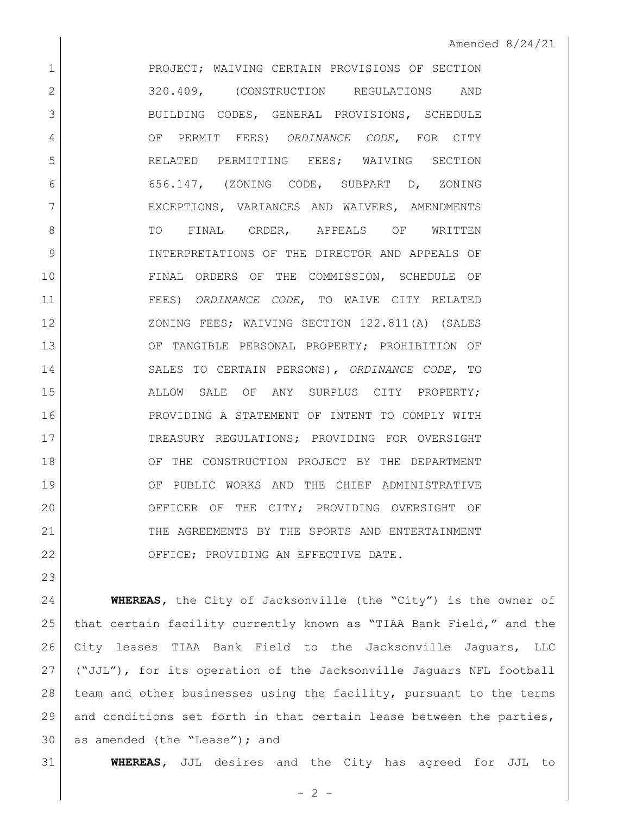1 PROJECT; WAIVING CERTAIN PROVISIONS OF SECTION 320.409, (CONSTRUCTION REGULATIONS AND 3 BUILDING CODES, GENERAL PROVISIONS, SCHEDULE OF PERMIT FEES) *ORDINANCE CODE*, FOR CITY RELATED PERMITTING FEES; WAIVING SECTION 656.147, (ZONING CODE, SUBPART D, ZONING 7 | EXCEPTIONS, VARIANCES AND WAIVERS, AMENDMENTS 8 TO FINAL ORDER, APPEALS OF WRITTEN INTERPRETATIONS OF THE DIRECTOR AND APPEALS OF FINAL ORDERS OF THE COMMISSION, SCHEDULE OF FEES) *ORDINANCE CODE*, TO WAIVE CITY RELATED 12 XONING FEES; WAIVING SECTION 122.811(A) (SALES OF TANGIBLE PERSONAL PROPERTY; PROHIBITION OF SALES TO CERTAIN PERSONS), *ORDINANCE CODE,* TO ALLOW SALE OF ANY SURPLUS CITY PROPERTY; PROVIDING A STATEMENT OF INTENT TO COMPLY WITH TREASURY REGULATIONS; PROVIDING FOR OVERSIGHT 18 OF THE CONSTRUCTION PROJECT BY THE DEPARTMENT OF PUBLIC WORKS AND THE CHIEF ADMINISTRATIVE OFFICER OF THE CITY; PROVIDING OVERSIGHT OF THE AGREEMENTS BY THE SPORTS AND ENTERTAINMENT 22 OFFICE; PROVIDING AN EFFECTIVE DATE.

 **WHEREAS,** the City of Jacksonville (the "City") is the owner of that certain facility currently known as "TIAA Bank Field," and the City leases TIAA Bank Field to the Jacksonville Jaguars, LLC ("JJL"), for its operation of the Jacksonville Jaguars NFL football team and other businesses using the facility, pursuant to the terms and conditions set forth in that certain lease between the parties, as amended (the "Lease"); and

**WHEREAS,** JJL desires and the City has agreed for JJL to

 $- 2 -$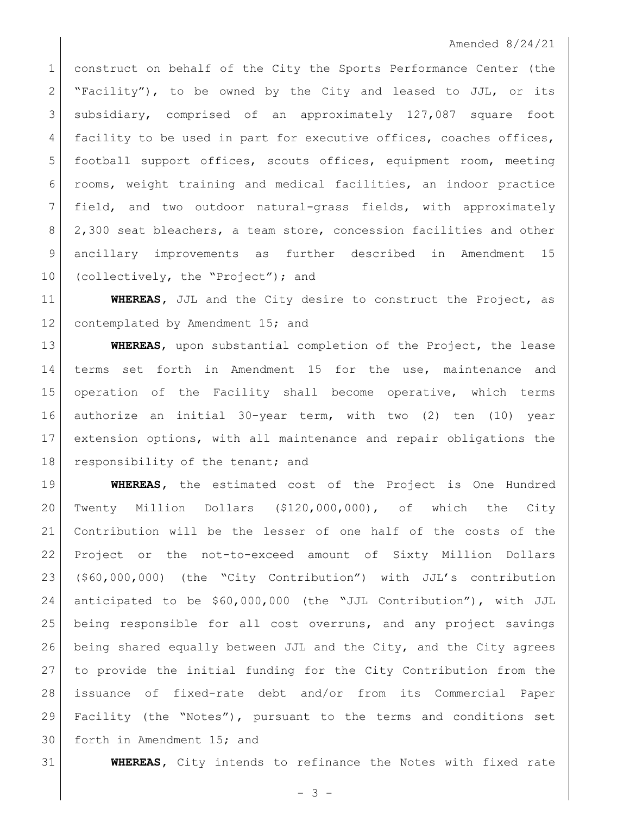## Amended 8/24/21

1 construct on behalf of the City the Sports Performance Center (the 2 | "Facility"), to be owned by the City and leased to JJL, or its subsidiary, comprised of an approximately 127,087 square foot 4 facility to be used in part for executive offices, coaches offices, football support offices, scouts offices, equipment room, meeting rooms, weight training and medical facilities, an indoor practice field, and two outdoor natural-grass fields, with approximately 8 2,300 seat bleachers, a team store, concession facilities and other ancillary improvements as further described in Amendment 15 10 (collectively, the "Project"); and

 **WHEREAS,** JJL and the City desire to construct the Project, as 12 contemplated by Amendment 15; and

 **WHEREAS**, upon substantial completion of the Project, the lease 14 terms set forth in Amendment 15 for the use, maintenance and operation of the Facility shall become operative, which terms authorize an initial 30-year term, with two (2) ten (10) year extension options, with all maintenance and repair obligations the 18 responsibility of the tenant; and

 **WHEREAS,** the estimated cost of the Project is One Hundred Twenty Million Dollars (\$120,000,000), of which the City Contribution will be the lesser of one half of the costs of the Project or the not-to-exceed amount of Sixty Million Dollars (\$60,000,000) (the "City Contribution") with JJL's contribution anticipated to be \$60,000,000 (the "JJL Contribution"), with JJL being responsible for all cost overruns, and any project savings being shared equally between JJL and the City, and the City agrees to provide the initial funding for the City Contribution from the issuance of fixed-rate debt and/or from its Commercial Paper Facility (the "Notes"), pursuant to the terms and conditions set forth in Amendment 15; and

**WHEREAS,** City intends to refinance the Notes with fixed rate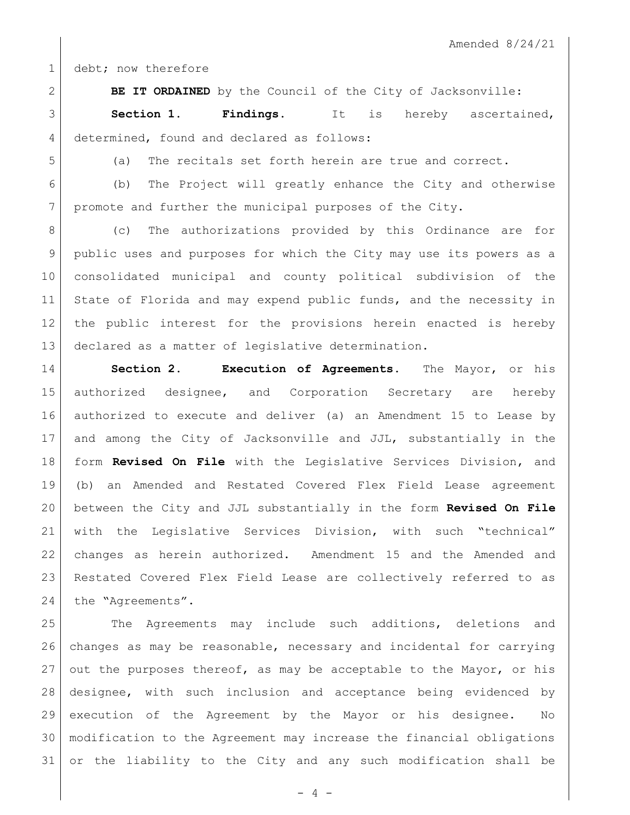1 debt; now therefore

**BE IT ORDAINED** by the Council of the City of Jacksonville:

 **Section 1. Findings.** It is hereby ascertained, 4 determined, found and declared as follows:

(a) The recitals set forth herein are true and correct.

(b) The Project will greatly enhance the City and otherwise

promote and further the municipal purposes of the City.

8 (c) The authorizations provided by this Ordinance are for public uses and purposes for which the City may use its powers as a consolidated municipal and county political subdivision of the 11 State of Florida and may expend public funds, and the necessity in the public interest for the provisions herein enacted is hereby declared as a matter of legislative determination.

 **Section 2. Execution of Agreements.** The Mayor, or his authorized designee, and Corporation Secretary are hereby authorized to execute and deliver (a) an Amendment 15 to Lease by and among the City of Jacksonville and JJL, substantially in the form **Revised On File** with the Legislative Services Division, and (b) an Amended and Restated Covered Flex Field Lease agreement between the City and JJL substantially in the form **Revised On File** with the Legislative Services Division, with such "technical" changes as herein authorized. Amendment 15 and the Amended and Restated Covered Flex Field Lease are collectively referred to as 24 the "Agreements".

 The Agreements may include such additions, deletions and changes as may be reasonable, necessary and incidental for carrying out the purposes thereof, as may be acceptable to the Mayor, or his designee, with such inclusion and acceptance being evidenced by execution of the Agreement by the Mayor or his designee. No modification to the Agreement may increase the financial obligations or the liability to the City and any such modification shall be

 $- 4 -$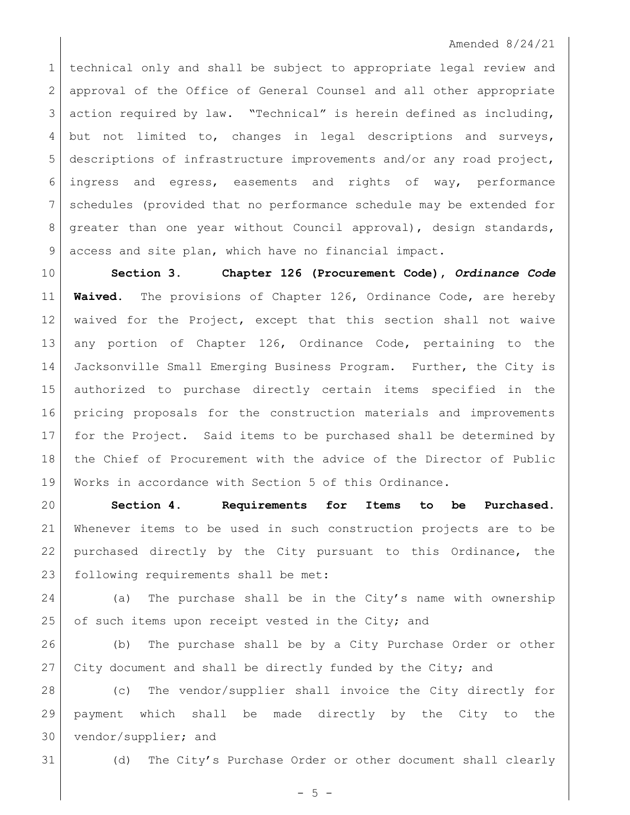## Amended 8/24/21

 technical only and shall be subject to appropriate legal review and 2 approval of the Office of General Counsel and all other appropriate action required by law. "Technical" is herein defined as including, but not limited to, changes in legal descriptions and surveys, descriptions of infrastructure improvements and/or any road project, ingress and egress, easements and rights of way, performance schedules (provided that no performance schedule may be extended for 8 | greater than one year without Council approval), design standards, access and site plan, which have no financial impact.

 **Section 3. Chapter 126 (Procurement Code),** *Ordinance Code* **Waived.** The provisions of Chapter 126, Ordinance Code, are hereby waived for the Project, except that this section shall not waive any portion of Chapter 126, Ordinance Code, pertaining to the 14 Jacksonville Small Emerging Business Program. Further, the City is authorized to purchase directly certain items specified in the pricing proposals for the construction materials and improvements for the Project. Said items to be purchased shall be determined by 18 | the Chief of Procurement with the advice of the Director of Public Works in accordance with Section 5 of this Ordinance.

 **Section 4. Requirements for Items to be Purchased.** Whenever items to be used in such construction projects are to be purchased directly by the City pursuant to this Ordinance, the 23 | following requirements shall be met:

24 (a) The purchase shall be in the City's name with ownership 25 of such items upon receipt vested in the City; and

 (b) The purchase shall be by a City Purchase Order or other 27 City document and shall be directly funded by the City; and

 (c) The vendor/supplier shall invoice the City directly for payment which shall be made directly by the City to the vendor/supplier; and

(d) The City's Purchase Order or other document shall clearly

 $-5 -$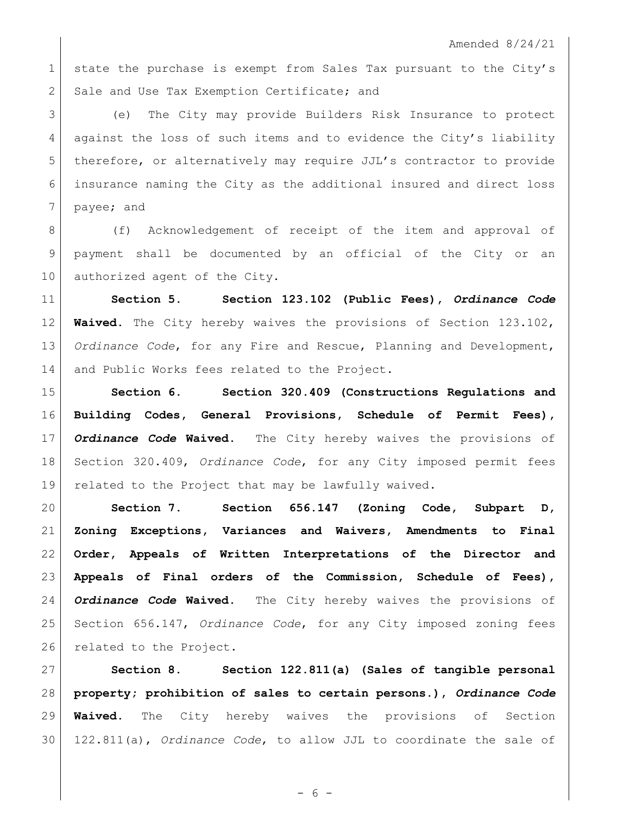1 state the purchase is exempt from Sales Tax pursuant to the City's 2 Sale and Use Tax Exemption Certificate; and

 (e) The City may provide Builders Risk Insurance to protect against the loss of such items and to evidence the City's liability therefore, or alternatively may require JJL's contractor to provide insurance naming the City as the additional insured and direct loss 7 payee; and

8 (f) Acknowledgement of receipt of the item and approval of payment shall be documented by an official of the City or an 10 authorized agent of the City.

 **Section 5. Section 123.102 (Public Fees),** *Ordinance Code* **Waived.** The City hereby waives the provisions of Section 123.102, *Ordinance Code*, for any Fire and Rescue, Planning and Development, 14 and Public Works fees related to the Project.

 **Section 6. Section 320.409 (Constructions Regulations and Building Codes, General Provisions, Schedule of Permit Fees),** *Ordinance Code* **Waived.** The City hereby waives the provisions of Section 320.409, *Ordinance Code*, for any City imposed permit fees related to the Project that may be lawfully waived.

 **Section 7. Section 656.147 (Zoning Code, Subpart D, Zoning Exceptions, Variances and Waivers, Amendments to Final Order, Appeals of Written Interpretations of the Director and Appeals of Final orders of the Commission, Schedule of Fees),**  *Ordinance Code* **Waived.** The City hereby waives the provisions of Section 656.147, *Ordinance Code*, for any City imposed zoning fees 26 related to the Project.

 **Section 8. Section 122.811(a) (Sales of tangible personal property; prohibition of sales to certain persons.),** *Ordinance Code* **Waived.** The City hereby waives the provisions of Section 122.811(a), *Ordinance Code*, to allow JJL to coordinate the sale of

- 6 -